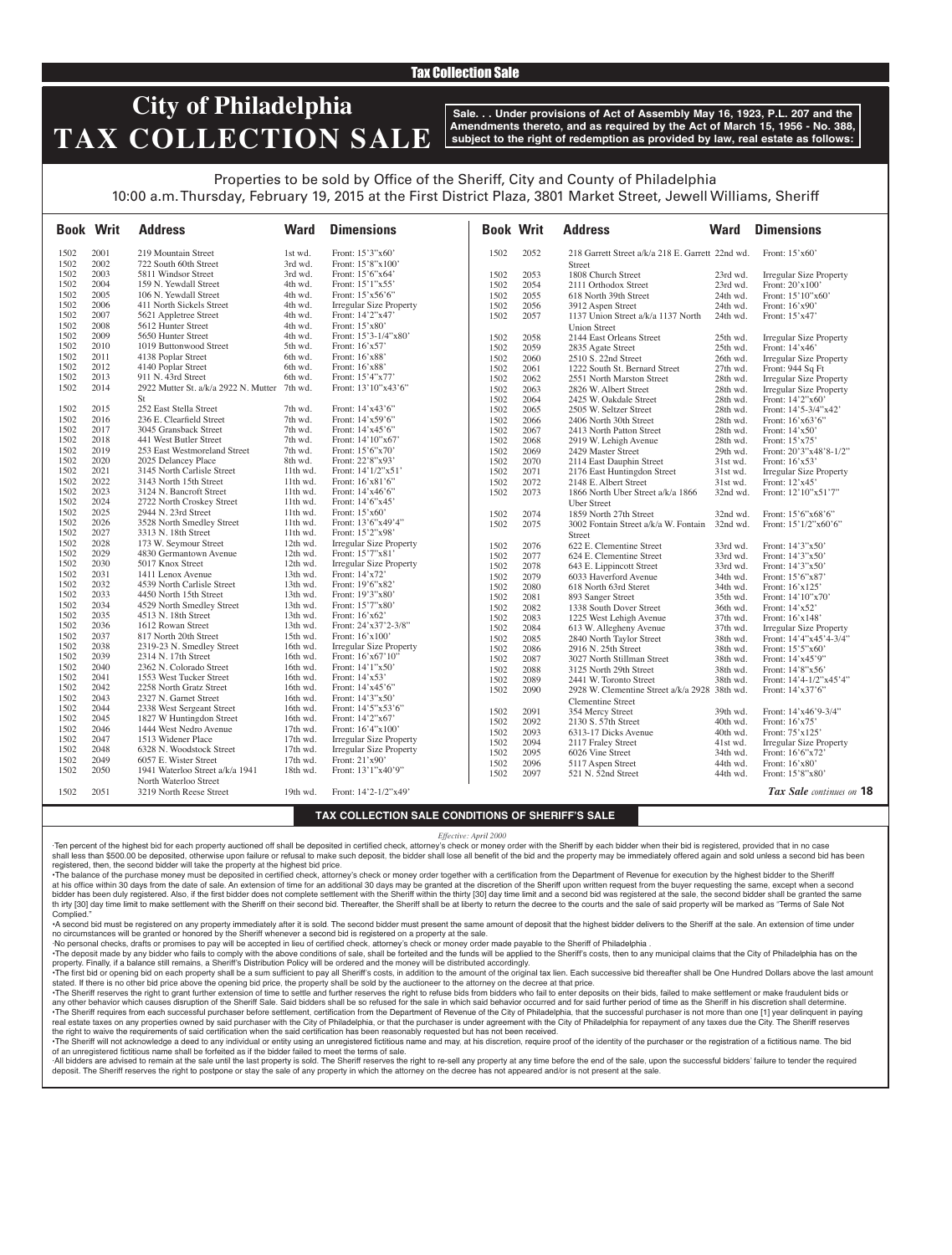## Tax Collection Sale

# **City of Philadelphia TAX COLLECTION SALE**

**Sale. . . Under provisions of Act of Assembly May 16, 1923, P.L. 207 and the Amendments thereto, and as required by the Act of March 15, 1956 - No. 388, subject to the right of redemption as provided by law, real estate as follows:**

## Properties to be sold by Office of the Sheriff, City and County of Philadelphia 10:00 a.m. Thursday, February 19, 2015 at the First District Plaza, 3801 Market Street, Jewell Williams, Sheriff

|              | <b>Book Writ</b> | <b>Address</b>                                       | <b>Ward</b>            | <b>Dimensions</b>                                  | <b>Book Writ</b> |      | <b>Address</b>                                     | Ward                 | <b>Dimensions</b>                    |
|--------------|------------------|------------------------------------------------------|------------------------|----------------------------------------------------|------------------|------|----------------------------------------------------|----------------------|--------------------------------------|
| 1502         | 2001             | 219 Mountain Street                                  | 1st wd.                | Front: 15'3"x60'                                   | 1502             | 2052 | 218 Garrett Street a/k/a 218 E. Garrett 22nd wd.   |                      | Front: $15'x60'$                     |
| 1502         | 2002             | 722 South 60th Street                                | 3rd wd.                | Front: 15'8"x100'                                  |                  |      | <b>Street</b>                                      |                      |                                      |
| 1502         | 2003             | 5811 Windsor Street                                  | 3rd wd.                | Front: 15'6"x64'                                   | 1502             | 2053 | 1808 Church Street                                 | 23rd wd.             | <b>Irregular Size Property</b>       |
| 1502         | 2004             | 159 N. Yewdall Street                                | 4th wd.                | Front: 15'1"x55'                                   | 1502             | 2054 | 2111 Orthodox Street                               | 23rd wd.             | Front: 20'x100'                      |
| 1502         | 2005             | 106 N. Yewdall Street                                | 4th wd.                | Front: 15'x56'6"                                   | 1502             | 2055 | 618 North 39th Street                              | 24th wd.             | Front: 15'10"x60'                    |
| 1502         | 2006             | 411 North Sickels Street                             | 4th wd.                | <b>Irregular Size Property</b>                     | 1502             | 2056 | 3912 Aspen Street                                  | 24th wd.             | Front: 16'x90'                       |
| 1502         | 2007             | 5621 Appletree Street                                | 4th wd.                | Front: 14'2"x47'                                   | 1502             | 2057 | 1137 Union Street a/k/a 1137 North                 | 24th wd.             | Front: 15'x47'                       |
| 1502         | 2008             | 5612 Hunter Street                                   | 4th wd.                | Front: 15'x80'                                     |                  |      | <b>Union Street</b>                                |                      |                                      |
| 1502         | 2009             | 5650 Hunter Street                                   | 4th wd.                | Front: 15'3-1/4"x80'                               | 1502             | 2058 | 2144 East Orleans Street                           | 25th wd.             | <b>Irregular Size Property</b>       |
| 1502         | 2010             | 1019 Buttonwood Street                               | 5th wd.                | Front: 16'x57'                                     | 1502             | 2059 | 2835 Agate Street                                  | 25th wd.             | Front: 14'x46'                       |
| 1502         | 2011             | 4138 Poplar Street                                   | 6th wd.                | Front: 16'x88'                                     | 1502             | 2060 | 2510 S. 22nd Street                                | 26th wd.             | <b>Irregular Size Property</b>       |
| 1502         | 2012             | 4140 Poplar Street                                   | 6th wd.                | Front: 16'x88'                                     | 1502             | 2061 | 1222 South St. Bernard Street                      | 27th wd.             | Front: 944 Sq Ft                     |
| 1502         | 2013             | 911 N. 43rd Street                                   | 6th wd.                | Front: 15'4"x77'                                   | 1502             | 2062 | 2551 North Marston Street                          | 28th wd.             | <b>Irregular Size Property</b>       |
| 1502         | 2014             | 2922 Mutter St. a/k/a 2922 N. Mutter 7th wd.         |                        | Front: 13'10"x43'6"                                | 1502             | 2063 | 2826 W. Albert Street                              | 28th wd.             | <b>Irregular Size Property</b>       |
|              |                  | St                                                   |                        |                                                    | 1502             | 2064 | 2425 W. Oakdale Street                             | 28th wd.             | Front: 14'2"x60'                     |
| 1502         | 2015             | 252 East Stella Street                               | 7th wd.                | Front: 14'x43'6"                                   | 1502             | 2065 | 2505 W. Seltzer Street                             | 28th wd.             | Front: $14'5-3/4''x42'$              |
| 1502         | 2016             | 236 E. Clearfield Street                             | 7th wd.                | Front: 14'x59'6"                                   | 1502             | 2066 |                                                    |                      |                                      |
| 1502         | 2017             | 3045 Gransback Street                                | 7th wd.                | Front: 14'x45'6"                                   | 1502             | 2067 | 2406 North 30th Street<br>2413 North Patton Street | 28th wd.<br>28th wd. | Front: 16'x63'6"<br>Front: $14'x50'$ |
| 1502         | 2018             | 441 West Butler Street                               | 7th wd.                | Front: 14'10"x67'                                  |                  | 2068 |                                                    |                      |                                      |
| 1502         | 2019             | 253 East Westmoreland Street                         | 7th wd.                | Front: 15'6"x70'                                   | 1502             |      | 2919 W. Lehigh Avenue                              | 28th wd.             | Front: 15'x75'                       |
| 1502         | 2020             | 2025 Delancey Place                                  | 8th wd.                |                                                    | 1502             | 2069 | 2429 Master Street                                 | 29th wd.             | Front: 20'3"x48'8-1/2"               |
|              | 2021             |                                                      |                        | Front: 22'8"x93'                                   | 1502             | 2070 | 2114 East Dauphin Street                           | 31st wd.             | Front: 16'x53'                       |
| 1502<br>1502 | 2022             | 3145 North Carlisle Street<br>3143 North 15th Street | 11th wd.<br>$11th$ wd. | Front: 14'1/2"x51'<br>Front: 16'x81'6"             | 1502             | 2071 | 2176 East Huntingdon Street                        | 31st wd.             | <b>Irregular Size Property</b>       |
| 1502         | 2023             |                                                      | $11th$ wd.             |                                                    | 1502             | 2072 | 2148 E. Albert Street                              | 31st wd.             | Front: 12'x45'                       |
|              |                  | 3124 N. Bancroft Street                              |                        | Front: $14'x46'6"$                                 | 1502             | 2073 | 1866 North Uber Street a/k/a 1866                  | 32nd wd.             | Front: 12'10"x51'7"                  |
| 1502         | 2024             | 2722 North Croskey Street                            | 11th wd.               | Front: 14'6"x45'                                   |                  |      | <b>Uber Street</b>                                 |                      |                                      |
| 1502<br>1502 | 2025<br>2026     | 2944 N. 23rd Street                                  | 11th wd.<br>$11th$ wd. | Front: 15'x60'<br>Front: 13'6"x49'4"               | 1502             | 2074 | 1859 North 27th Street                             | 32nd wd.             | Front: 15'6"x68'6"                   |
| 1502         | 2027             | 3528 North Smedley Street                            |                        |                                                    | 1502             | 2075 | 3002 Fontain Street a/k/a W. Fontain               | 32nd wd.             | Front: 15'1/2"x60'6"                 |
| 1502         | 2028             | 3313 N. 18th Street<br>173 W. Seymour Street         | 11th wd.<br>12th wd.   | Front: 15'2"x98'<br><b>Irregular Size Property</b> |                  |      | <b>Street</b>                                      |                      |                                      |
| 1502         | 2029             | 4830 Germantown Avenue                               | 12th wd.               | Front: 15'7"x81'                                   | 1502             | 2076 | 622 E. Clementine Street                           | 33rd wd.             | Front: 14'3"x50'                     |
| 1502         | 2030             |                                                      |                        |                                                    | 1502             | 2077 | 624 E. Clementine Street                           | 33rd wd.             | Front: 14'3"x50'                     |
|              |                  | 5017 Knox Street                                     | 12th wd.               | <b>Irregular Size Property</b>                     | 1502             | 2078 | 643 E. Lippincott Street                           | 33rd wd.             | Front: 14'3"x50'                     |
| 1502         | 2031             | 1411 Lenox Avenue                                    | 13th wd.               | Front: 14'x72'                                     | 1502             | 2079 | 6033 Haverford Avenue                              | 34th wd.             | Front: 15'6"x87'                     |
| 1502<br>1502 | 2032<br>2033     | 4539 North Carlisle Street                           | 13th wd.               | Front: 19'6"x82'                                   | 1502             | 2080 | 618 North 63rd Steret                              | 34th wd.             | Front: 16'x125'                      |
|              |                  | 4450 North 15th Street                               | 13th wd.               | Front: 19'3"x80"                                   | 1502             | 2081 | 893 Sanger Street                                  | 35th wd.             | Front: 14'10"x70'                    |
| 1502         | 2034             | 4529 North Smedley Street                            | 13th wd.               | Front: 15'7"x80                                    | 1502             | 2082 | 1338 South Dover Street                            | 36th wd.             | Front: 14'x52'                       |
| 1502         | 2035             | 4513 N. 18th Street                                  | 13th wd.               | Front: 16'x62'                                     | 1502             | 2083 | 1225 West Lehigh Avenue                            | 37th wd.             | Front: 16'x148'                      |
| 1502         | 2036<br>2037     | 1612 Rowan Street                                    | 13th wd.               | Front: 24'x37'2-3/8"                               | 1502             | 2084 | 613 W. Allegheny Avenue                            | 37th wd.             | Irregular Size Property              |
| 1502         |                  | 817 North 20th Street                                | 15th wd.               | Front: 16'x100'                                    | 1502             | 2085 | 2840 North Taylor Street                           | 38th wd.             | Front: 14'4"x45'4-3/4"               |
| 1502         | 2038             | 2319-23 N. Smedley Street                            | 16th wd.               | <b>Irregular Size Property</b>                     | 1502             | 2086 | 2916 N. 25th Street                                | 38th wd.             | Front: 15'5"x60'                     |
| 1502         | 2039             | 2314 N. 17th Street                                  | 16th wd.               | Front: 16'x67'10"                                  | 1502             | 2087 | 3027 North Stillman Street                         | 38th wd.             | Front: 14'x45'9"                     |
| 1502         | 2040             | 2362 N. Colorado Street                              | 16th wd.               | Front: 14'1"x50'                                   | 1502             | 2088 | 3125 North 29th Street                             | 38th wd.             | Front: 14'8"x56'                     |
| 1502         | 2041             | 1553 West Tucker Street                              | 16th wd.               | Front: 14'x53'                                     | 1502             | 2089 | 2441 W. Toronto Street                             | 38th wd.             | Front: 14'4-1/2"x45'4"               |
| 1502         | 2042             | 2258 North Gratz Street                              | 16th wd.               | Front: 14'x45'6"                                   | 1502             | 2090 | 2928 W. Clementine Street a/k/a 2928 38th wd.      |                      | Front: 14'x37'6"                     |
| 1502         | 2043             | 2327 N. Garnet Street                                | 16th wd.               | Front: 14'3"x50'                                   |                  |      | <b>Clementine Street</b>                           |                      |                                      |
| 1502         | 2044             | 2338 West Sergeant Street                            | 16th wd.               | Front: 14'5"x53'6"                                 | 1502             | 2091 | 354 Mercy Street                                   | 39th wd.             | Front: 14'x46'9-3/4"                 |
| 1502         | 2045             | 1827 W Huntingdon Street                             | 16th wd.               | Front: 14'2"x67                                    | 1502             | 2092 | 2130 S. 57th Street                                | 40th wd.             | Front: $16'x75'$                     |
| 1502         | 2046             | 1444 West Nedro Avenue                               | 17th wd.               | Front: 16'4"x100"                                  | 1502             | 2093 | 6313-17 Dicks Avenue                               | 40th wd.             | Front: 75'x125'                      |
| 1502         | 2047             | 1513 Widener Place                                   | 17th wd.               | <b>Irregular Size Property</b>                     | 1502             | 2094 | 2117 Fraley Street                                 | 41st wd.             | <b>Irregular Size Property</b>       |
| 1502         | 2048             | 6328 N. Woodstock Street                             | $17th$ wd.             | <b>Irregular Size Property</b>                     | 1502             | 2095 | 6026 Vine Street                                   | 34th wd.             | Front: 16'6"x72'                     |
| 1502         | 2049             | 6057 E. Wister Street                                | 17th wd.               | Front: 21'x90'                                     | 1502             | 2096 | 5117 Aspen Street                                  | 44th wd.             | Front: 16'x80'                       |
| 1502         | 2050             | 1941 Waterloo Street a/k/a 1941                      | 18th wd.               | Front: 13'1"x40'9"                                 | 1502             | 2097 | 521 N. 52nd Street                                 | 44th wd.             | Front: 15'8"x80'                     |
| 1502         | 2051             | North Waterloo Street<br>3219 North Reese Street     | 19th wd.               | Front: 14'2-1/2"x49'                               |                  |      |                                                    |                      | Tax Sale continues on 18             |

### **TAX COLLECTION SALE CONDITIONS OF SHERIFF'S SALE**

#### *Effective: April 2000*

·Ten percent of the highest bid for each property auctioned off shall be deposited in certified check, attorney's check or money order with the Sheriff by each bidder when their bid is registered, provided that in no case shall less than \$500.00 be deposited, otherwise upon failure or refusal to make such deposit, the bidder shall lose all benefit of the bid and the property may be immediately offered again and sold unless a second bid has registered, then, the second bidder will take the property at the highest bid price.

•The balance of the purchase money must be deposited in certified check, attorney's check or money order together with a certification from the Department of Revenue for execution by the highest bidder to the Sheriff at his office within 30 days from the date of sale. An extension of time for an additional 30 days may be granted at the discretion of the Sheriff upon written request from the buyer requesting the same, except when a second bidder has been duly registered. Also, if the first bidder does not complete settlement with the Sheriff within the thirty [30] day time limit and a second bid was registered at the sale, the second bidder shall be granted th irty [30] day time limit to make settlement with the Sheriff on their second bid. Thereafter, the Sheriff shall be at liberty to return the decree to the courts and the sale of said property will be marked as "Terms of Complied.

•A second bid must be registered on any property immediately after it is sold. The second bidder must present the same amount of deposit that the highest bidder delivers to the Sheriff at the sale. An extension of time under no circumstances will be granted or honored by the Sheriff whenever a second bid is registered on a property at the sale.

·No personal checks, drafts or promises to pay will be accepted in lieu of certified check, attorney's check or money order made payable to the Sheriff of Philadelphia .

-The deposit made by any bidder who fails to comply with the above conditions of sale, shall be forteited and the funds will be applied to the Sheriff's costs, then to any municipal claims that the City of Philadelphia has property. Finally, if a balance still remains, a Sheriff's Distribution Policy will be ordered and the money will be distributed accordingly.

The first bid or opening bid on each property shall be a sum sufficient to pay all Sheriff's costs, in addition to the amount of the original tax lien. Each successive bid thereafter shall be One Hundred Dollars above the stated. If there is no other bid price above the opening bid price, the property shall be sold by the auctioneer to the attorney on the decree at that price.

·The Sheriff reserves the right to grant further extension of time to settle and further reserves the right to refuse bids from bidders who fail to enter deposits on their bids, failed to make settlement or make fraudulent any other behavior which causes disruption of the Sheriff Sale. Said bidders shall be so refused for the sale in which said behavior occurred and for said further period of time as the Sheriff in his discretion shall deter •The Sheriff requires from each successful purchaser before settlement, certification from the Department of Revenue of the City of Philadelphia, that the successful purchaser is not more than one [1] year delinquent in pa real estate taxes on any properties owned by said purchaser with the City of Philadelphia, or that the purchaser is under agreement with the City of Philadelphia for repayment of any taxes due the City. The Sheriff reserve the right to waive the requirements of said certification when the said certification has been reasonably requested but has not been received.

The Sheriff will not acknowledge a deed to any individual or entity using an unregistered fictitious name and may, at his discretion, require proof of the identity of the purchaser or the registration of a fictitious name. of an unregistered fictitious name shall be forfeited as if the bidder failed to meet the terms of sale.

All bidders are advised to remain at the sale until the last property is sold. The Sheriff reserves the right to re-sell any property at any time before the end of the sale, upon the successful bidders' failure to tender t deposit. The Sheriff reserves the right to postpone or stay the sale of any property in which the attorney on the decree has not appeared and/or is not present at the sale.